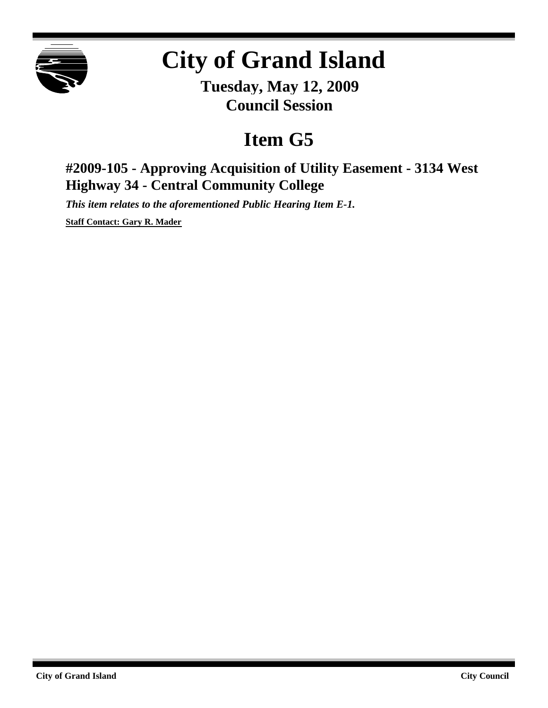

## **City of Grand Island**

**Tuesday, May 12, 2009 Council Session**

## **Item G5**

## **#2009-105 - Approving Acquisition of Utility Easement - 3134 West Highway 34 - Central Community College**

*This item relates to the aforementioned Public Hearing Item E-1.*

**Staff Contact: Gary R. Mader**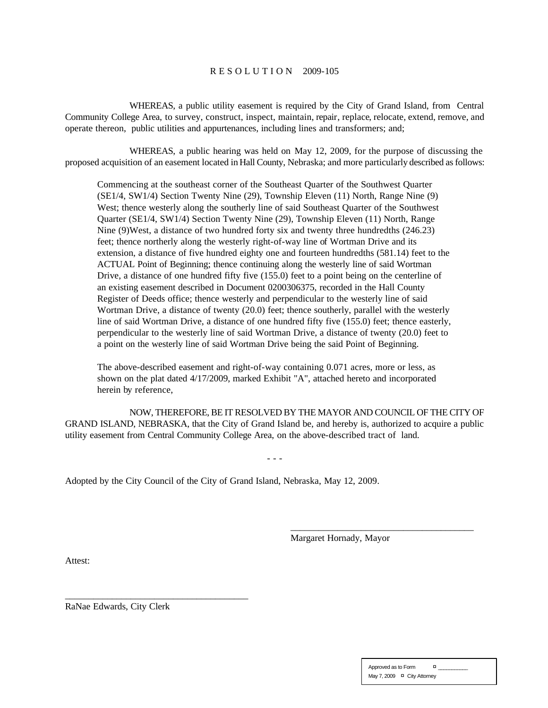## R E S O L U T I O N 2009-105

WHEREAS, a public utility easement is required by the City of Grand Island, from Central Community College Area, to survey, construct, inspect, maintain, repair, replace, relocate, extend, remove, and operate thereon, public utilities and appurtenances, including lines and transformers; and;

WHEREAS, a public hearing was held on May 12, 2009, for the purpose of discussing the proposed acquisition of an easement located in Hall County, Nebraska; and more particularly described as follows:

Commencing at the southeast corner of the Southeast Quarter of the Southwest Quarter (SE1/4, SW1/4) Section Twenty Nine (29), Township Eleven (11) North, Range Nine (9) West; thence westerly along the southerly line of said Southeast Quarter of the Southwest Quarter (SE1/4, SW1/4) Section Twenty Nine (29), Township Eleven (11) North, Range Nine (9)West, a distance of two hundred forty six and twenty three hundredths (246.23) feet; thence northerly along the westerly right-of-way line of Wortman Drive and its extension, a distance of five hundred eighty one and fourteen hundredths (581.14) feet to the ACTUAL Point of Beginning; thence continuing along the westerly line of said Wortman Drive, a distance of one hundred fifty five (155.0) feet to a point being on the centerline of an existing easement described in Document 0200306375, recorded in the Hall County Register of Deeds office; thence westerly and perpendicular to the westerly line of said Wortman Drive, a distance of twenty (20.0) feet; thence southerly, parallel with the westerly line of said Wortman Drive, a distance of one hundred fifty five (155.0) feet; thence easterly, perpendicular to the westerly line of said Wortman Drive, a distance of twenty (20.0) feet to a point on the westerly line of said Wortman Drive being the said Point of Beginning.

The above-described easement and right-of-way containing 0.071 acres, more or less, as shown on the plat dated 4/17/2009, marked Exhibit "A", attached hereto and incorporated herein by reference,

NOW, THEREFORE, BE IT RESOLVED BY THE MAYOR AND COUNCIL OF THE CITY OF GRAND ISLAND, NEBRASKA, that the City of Grand Island be, and hereby is, authorized to acquire a public utility easement from Central Community College Area, on the above-described tract of land.

- - -

Adopted by the City Council of the City of Grand Island, Nebraska, May 12, 2009.

Margaret Hornady, Mayor

\_\_\_\_\_\_\_\_\_\_\_\_\_\_\_\_\_\_\_\_\_\_\_\_\_\_\_\_\_\_\_\_\_\_\_\_\_\_\_

Attest:

RaNae Edwards, City Clerk

\_\_\_\_\_\_\_\_\_\_\_\_\_\_\_\_\_\_\_\_\_\_\_\_\_\_\_\_\_\_\_\_\_\_\_\_\_\_\_

| Approved as to Form         |  | o |  |
|-----------------------------|--|---|--|
| May 7, 2009 ¤ City Attorney |  |   |  |